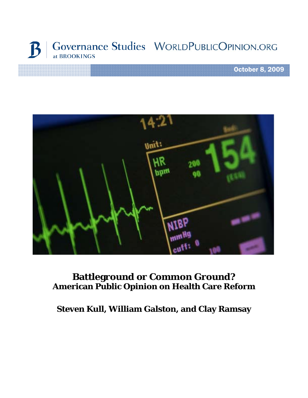

## October 8, 2009



## **Battleground or Common Ground? American Public Opinion on Health Care Reform**

**Steven Kull, William Galston, and Clay Ramsay**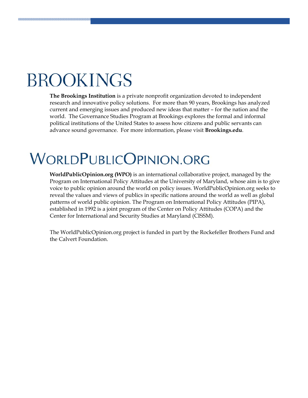# **BROOKINGS**

**The Brookings Institution** is a private nonprofit organization devoted to independent research and innovative policy solutions. For more than 90 years, Brookings has analyzed current and emerging issues and produced new ideas that matter – for the nation and the world. The Governance Studies Program at Brookings explores the formal and informal political institutions of the United States to assess how citizens and public servants can advance sound governance. For more information, please visit **Brookings.edu**.

# **WORLDPUBLICOPINION.ORG**

**WorldPublicOpinion.org (WPO)** is an international collaborative project, managed by the Program on International Policy Attitudes at the University of Maryland, whose aim is to give voice to public opinion around the world on policy issues. WorldPublicOpinion.org seeks to reveal the values and views of publics in specific nations around the world as well as global patterns of world public opinion. The Program on International Policy Attitudes (PIPA), established in 1992 is a joint program of the Center on Policy Attitudes (COPA) and the Center for International and Security Studies at Maryland (CISSM).

The WorldPublicOpinion.org project is funded in part by the Rockefeller Brothers Fund and the Calvert Foundation.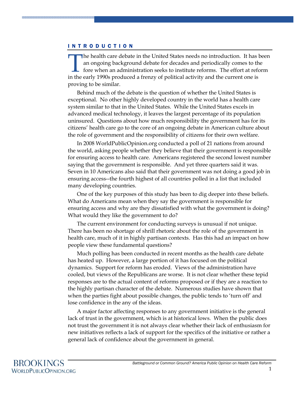#### INTRODUCTION

he health care debate in the United States needs no introduction. It has been an ongoing background debate for decades and periodically comes to the fore when an administration seeks to institute reforms. The effort at reform The health care debate in the United States needs no introduction. It has lan ongoing background debate for decades and periodically comes to the fore when an administration seeks to institute reforms. The effort at reform proving to be similar.

Behind much of the debate is the question of whether the United States is exceptional. No other highly developed country in the world has a health care system similar to that in the United States. While the United States excels in advanced medical technology, it leaves the largest percentage of its population uninsured. Questions about how much responsibility the government has for its citizens' health care go to the core of an ongoing debate in American culture about the role of government and the responsibility of citizens for their own welfare.

In 2008 WorldPublicOpinion.org conducted a poll of 21 nations from around the world, asking people whether they believe that their government is responsible for ensuring access to health care. Americans registered the second lowest number saying that the government is responsible. And yet three quarters said it was. Seven in 10 Americans also said that their government was not doing a good job in ensuring access--the fourth highest of all countries polled in a list that included many developing countries.

One of the key purposes of this study has been to dig deeper into these beliefs. What do Americans mean when they say the government is responsible for ensuring access and why are they dissatisfied with what the government is doing? What would they like the government to do?

The current environment for conducting surveys is unusual if not unique. There has been no shortage of shrill rhetoric about the role of the government in health care, much of it in highly partisan contexts. Has this had an impact on how people view these fundamental questions?

Much polling has been conducted in recent months as the health care debate has heated up. However, a large portion of it has focused on the political dynamics. Support for reform has eroded. Views of the administration have cooled, but views of the Republicans are worse. It is not clear whether these tepid responses are to the actual content of reforms proposed or if they are a reaction to the highly partisan character of the debate. Numerous studies have shown that when the parties fight about possible changes, the public tends to 'turn off' and lose confidence in the any of the ideas.

A major factor affecting responses to any government initiative is the general lack of trust in the government, which is at historical lows. When the public does not trust the government it is not always clear whether their lack of enthusiasm for new initiatives reflects a lack of support for the specifics of the initiative or rather a general lack of confidence about the government in general.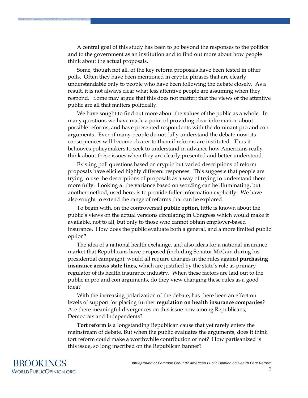A central goal of this study has been to go beyond the responses to the politics and to the government as an institution and to find out more about how people think about the actual proposals.

Some, though not all, of the key reform proposals have been tested in other polls. Often they have been mentioned in cryptic phrases that are clearly understandable only to people who have been following the debate closely. As a result, it is not always clear what less attentive people are assuming when they respond. Some may argue that this does not matter; that the views of the attentive public are all that matters politically.

We have sought to find out more about the values of the public as a whole. In many questions we have made a point of providing clear information about possible reforms, and have presented respondents with the dominant pro and con arguments. Even if many people do not fully understand the debate now, its consequences will become clearer to them if reforms are instituted. Thus it behooves policymakers to seek to understand in advance how Americans really think about these issues when they are clearly presented and better understood.

Existing poll questions based on cryptic but varied descriptions of reform proposals have elicited highly different responses. This suggests that people are trying to use the descriptions of proposals as a way of trying to understand them more fully. Looking at the variance based on wording can be illuminating, but another method, used here, is to provide fuller information explicitly. We have also sought to extend the range of reforms that can be explored.

To begin with, on the controversial **public option,** little is known about the public's views on the actual versions circulating in Congress which would make it available, not to all, but only to those who cannot obtain employer-based insurance. How does the public evaluate both a general, and a more limited public option?

The idea of a national health exchange, and also ideas for a national insurance market that Republicans have proposed (including Senator McCain during his presidential campaign), would all require changes in the rules against **purchasing insurance across state lines,** which are justified by the state's role as primary regulator of its health insurance industry. When these factors are laid out to the public in pro and con arguments, do they view changing these rules as a good idea?

With the increasing polarization of the debate, has there been an effect on levels of support for placing further **regulation on health insurance companies**? Are there meaningful divergences on this issue now among Republicans, Democrats and Independents?

**Tort reform** is a longstanding Republican cause that yet rarely enters the mainstream of debate. But when the public evaluates the arguments, does it think tort reform could make a worthwhile contribution or not? How partisanized is this issue, so long inscribed on the Republican banner?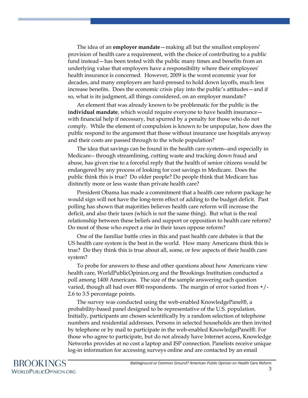The idea of an **employer mandate**—making all but the smallest employers' provision of health care a requirement, with the choice of contributing to a public fund instead—has been tested with the public many times and benefits from an underlying value that employers have a responsibility where their employees' health insurance is concerned. However, 2009 is the worst economic year for decades, and many employers are hard-pressed to hold down layoffs, much less increase benefits. Does the economic crisis play into the public's attitudes—and if so, what is its judgment, all things considered, on an employer mandate?

An element that was already known to be problematic for the public is the **individual mandate**, which would require everyone to have health insurance with financial help if necessary, but spurred by a penalty for those who do not comply. While the element of compulsion is known to be unpopular, how does the public respond to the argument that those without insurance use hospitals anyway and their costs are passed through to the whole population?

The idea that savings can be found in the health care system--and especially in Medicare-- through streamlining, cutting waste and tracking down fraud and abuse, has given rise to a forceful reply that the health of senior citizens would be endangered by any process of looking for cost savings in Medicare. Does the public think this is true? Do older people? Do people think that Medicare has distinctly more or less waste than private health care?

President Obama has made a commitment that a health care reform package he would sign will not have the long-term effect of adding to the budget deficit. Past polling has shown that majorities believes health care reform will increase the deficit, and also their taxes (which is not the same thing). But what is the real relationship between these beliefs and support or opposition to health care reform? Do most of those who expect a rise in their taxes oppose reform?

One of the familiar battle cries in this and past health care debates is that the US health care system is the best in the world. How many Americans think this is true? Do they think this is true about all, some, or few aspects of their health care system?

To probe for answers to these and other questions about how Americans view health care, WorldPublicOpinion.org and the Brookings Institution conducted a poll among 1400 Americans. The size of the sample answering each question varied, though all had over 800 respondents. The margin of error varied from +/- 2.6 to 3.5 percentage points.

The survey was conducted using the web-enabled KnowledgePanel®, a probability-based panel designed to be representative of the U.S. population. Initially, participants are chosen scientifically by a random selection of telephone numbers and residential addresses. Persons in selected households are then invited by telephone or by mail to participate in the web-enabled KnowledgePanel®. For those who agree to participate, but do not already have Internet access, Knowledge Networks provides at no cost a laptop and ISP connection. Panelists receive unique log-in information for accessing surveys online and are contacted by an email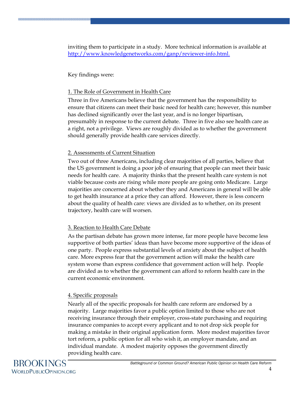inviting them to participate in a study. More technical information is available at http://www.knowledgenetworks.com/ganp/reviewer-info.html.

Key findings were:

## 1. The Role of Government in Health Care

Three in five Americans believe that the government has the responsibility to ensure that citizens can meet their basic need for health care; however, this number has declined significantly over the last year, and is no longer bipartisan, presumably in response to the current debate. Three in five also see health care as a right, not a privilege. Views are roughly divided as to whether the government should generally provide health care services directly.

## 2. Assessments of Current Situation

Two out of three Americans, including clear majorities of all parties, believe that the US government is doing a poor job of ensuring that people can meet their basic needs for health care. A majority thinks that the present health care system is not viable because costs are rising while more people are going onto Medicare. Large majorities are concerned about whether they and Americans in general will be able to get health insurance at a price they can afford. However, there is less concern about the quality of health care: views are divided as to whether, on its present trajectory, health care will worsen.

### 3. Reaction to Health Care Debate

As the partisan debate has grown more intense, far more people have become less supportive of both parties' ideas than have become more supportive of the ideas of one party. People express substantial levels of anxiety about the subject of health care. More express fear that the government action will make the health care system worse than express confidence that government action will help. People are divided as to whether the government can afford to reform health care in the current economic environment.

## 4. Specific proposals

Nearly all of the specific proposals for health care reform are endorsed by a majority. Large majorities favor a public option limited to those who are not receiving insurance through their employer, cross-state purchasing and requiring insurance companies to accept every applicant and to not drop sick people for making a mistake in their original application form. More modest majorities favor tort reform, a public option for all who wish it, an employer mandate, and an individual mandate. A modest majority opposes the government directly providing health care.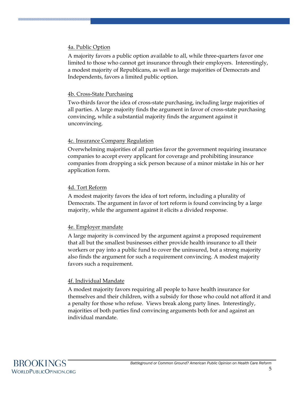#### 4a. Public Option

A majority favors a public option available to all, while three-quarters favor one limited to those who cannot get insurance through their employers. Interestingly, a modest majority of Republicans, as well as large majorities of Democrats and Independents, favors a limited public option.

#### 4b. Cross-State Purchasing

Two-thirds favor the idea of cross-state purchasing, including large majorities of all parties. A large majority finds the argument in favor of cross-state purchasing convincing, while a substantial majority finds the argument against it unconvincing.

### 4c. Insurance Company Regulation

Overwhelming majorities of all parties favor the government requiring insurance companies to accept every applicant for coverage and prohibiting insurance companies from dropping a sick person because of a minor mistake in his or her application form.

#### 4d. Tort Reform

A modest majority favors the idea of tort reform, including a plurality of Democrats. The argument in favor of tort reform is found convincing by a large majority, while the argument against it elicits a divided response.

#### 4e. Employer mandate

A large majority is convinced by the argument against a proposed requirement that all but the smallest businesses either provide health insurance to all their workers or pay into a public fund to cover the uninsured, but a strong majority also finds the argument for such a requirement convincing. A modest majority favors such a requirement.

### 4f. Individual Mandate

A modest majority favors requiring all people to have health insurance for themselves and their children, with a subsidy for those who could not afford it and a penalty for those who refuse. Views break along party lines. Interestingly, majorities of both parties find convincing arguments both for and against an individual mandate.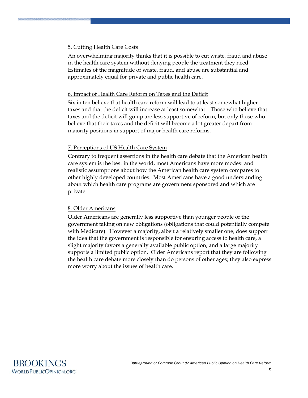## 5. Cutting Health Care Costs

An overwhelming majority thinks that it is possible to cut waste, fraud and abuse in the health care system without denying people the treatment they need. Estimates of the magnitude of waste, fraud, and abuse are substantial and approximately equal for private and public health care.

#### 6. Impact of Health Care Reform on Taxes and the Deficit

Six in ten believe that health care reform will lead to at least somewhat higher taxes and that the deficit will increase at least somewhat. Those who believe that taxes and the deficit will go up are less supportive of reform, but only those who believe that their taxes and the deficit will become a lot greater depart from majority positions in support of major health care reforms.

### 7. Perceptions of US Health Care System

Contrary to frequent assertions in the health care debate that the American health care system is the best in the world, most Americans have more modest and realistic assumptions about how the American health care system compares to other highly developed countries. Most Americans have a good understanding about which health care programs are government sponsored and which are private.

#### 8. Older Americans

Older Americans are generally less supportive than younger people of the government taking on new obligations (obligations that could potentially compete with Medicare). However a majority, albeit a relatively smaller one, does support the idea that the government is responsible for ensuring access to health care, a slight majority favors a generally available public option, and a large majority supports a limited public option. Older Americans report that they are following the health care debate more closely than do persons of other ages; they also express more worry about the issues of health care.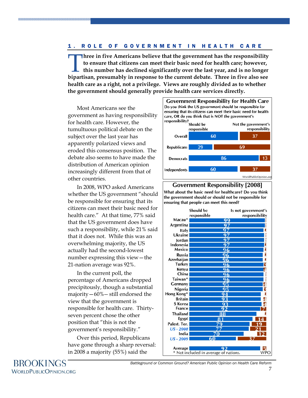#### 1. ROLE OF GOVERNMENT IN HEALTH CARE

**hree in five Americans believe that the government has the responsibility to ensure that citizens can meet their basic need for health care; however, this number has declined significantly over the last year, and is no longer bigartism** in five Americans believe that the government has the responsibility to ensure that citizens can meet their basic need for health care; however, this number has declined significantly over the last year, and is **health care as a right, not a privilege. Views are roughly divided as to whether the government should generally provide health care services directly.** 

Most Americans see the government as having responsibility for health care. However, the tumultuous political debate on the subject over the last year has apparently polarized views and eroded this consensus position. The debate also seems to have made the distribution of American opinion increasingly different from that of other countries.

In 2008, WPO asked Americans whether the US government "should be responsible for ensuring that its citizens can meet their basic need for health care." At that time, 77% said that the US government does have such a responsibility, while 21% said that it does not. While this was an overwhelming majority, the US actually had the second-lowest number expressing this view—the 21-nation average was 92%.

In the current poll, the percentage of Americans dropped precipitously, though a substantial majority—60%-- still endorsed the view that the government is responsible for health care. Thirtyseven percent chose the other position that "this is not the government's responsibility."

Over this period, Republicans have gone through a sharp reversal: in 2008 a majority (55%) said the



#### **Government Responsibility [2008]**

What about the basic need for healthcare? Do you think the government should or should not be responsible for ensuring that people can meet this need?

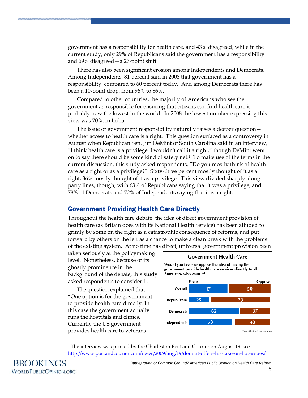government has a responsibility for health care, and 43% disagreed, while in the current study, only 29% of Republicans said the government has a responsibility and 69% disagreed—a 26-point shift.

There has also been significant erosion among Independents and Democrats. Among Independents, 81 percent said in 2008 that government has a responsibility, compared to 60 percent today. And among Democrats there has been a 10-point drop, from 96% to 86%.

Compared to other countries, the majority of Americans who see the government as responsible for ensuring that citizens can find health care is probably now the lowest in the world. In 2008 the lowest number expressing this view was 70%, in India.

The issue of government responsibility naturally raises a deeper question whether access to health care is a right. This question surfaced as a controversy in August when Republican Sen. Jim DeMint of South Carolina said in an interview, "I think health care is a privilege. I wouldn't call it a right," though DeMint went on to say there should be some kind of safety net.1 To make use of the terms in the current discussion, this study asked respondents, "Do you mostly think of health care as a right or as a privilege?" Sixty-three percent mostly thought of it as a right; 36% mostly thought of it as a privilege. This view divided sharply along party lines, though, with 63% of Republicans saying that it was a privilege, and 78% of Democrats and 72% of Independents saying that it is a right.

## Government Providing Health Care Directly

Throughout the health care debate, the idea of direct government provision of health care (as Britain does with its National Health Service) has been alluded to grimly by some on the right as a catastrophic consequence of reforms, and put forward by others on the left as a chance to make a clean break with the problems of the existing system. At no time has direct, universal government provision been

taken seriously at the policymaking level. Nonetheless, because of its ghostly prominence in the background of the debate, this study asked respondents to consider it.

The question explained that "One option is for the government to provide health care directly. In this case the government actually runs the hospitals and clinics. Currently the US government provides health care to veterans



<sup>1</sup> The interview was printed by the Charleston Post and Courier on August 19: see http://www.postandcourier.com/news/2009/aug/19/demint-offers-his-take-on-hot-issues/

 $\overline{a}$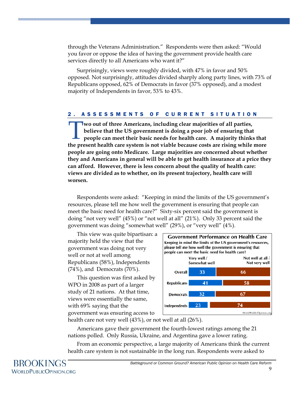through the Veterans Administration." Respondents were then asked: "Would you favor or oppose the idea of having the government provide health care services directly to all Americans who want it?"

Surprisingly, views were roughly divided, with 47% in favor and 50% opposed. Not surprisingly, attitudes divided sharply along party lines, with 73% of Republicans opposed, 62% of Democrats in favor (37% opposed), and a modest majority of Independents in favor, 53% to 43%.

#### 2. ASSESSMENTS OF CURRENT SITUATION

**wo out of three Americans, including clear majorities of all parties, believe that the US government is doing a poor job of ensuring that people can meet their basic needs for health care. A majority thinks that the present health care system is not viable because costs are rising while more people are going onto Medicare. Large majorities are concerned about whether they and Americans in general will be able to get health insurance at a price they can afford. However, there is less concern about the quality of health care: views are divided as to whether, on its present trajectory, health care will worsen.**  T

Respondents were asked: "Keeping in mind the limits of the US government's resources, please tell me how well the government is ensuring that people can meet the basic need for health care?" Sixty-six percent said the government is doing "not very well" (45%) or "not well at all" (21%). Only 33 percent said the government was doing "somewhat well" (29%), or "very well" (4%).

This view was quite bipartisan: a majority held the view that the government was doing not very well or not at well among Republicans (58%), Independents (74%), and Democrats (70%).

This question was first asked by WPO in 2008 as part of a larger study of 21 nations. At that time, views were essentially the same, with 69% saying that the government was ensuring access to



health care not very well (43%), or not well at all (26%).

Americans gave their government the fourth-lowest ratings among the 21 nations polled. Only Russia, Ukraine, and Argentina gave a lower rating.

From an economic perspective, a large majority of Americans think the current health care system is not sustainable in the long run. Respondents were asked to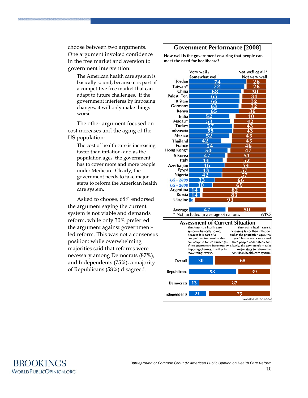choose between two arguments. One argument invoked confidence in the free market and aversion to government intervention:

> The American health care system is basically sound, because it is part of a competitive free market that can adapt to future challenges. If the government interferes by imposing changes, it will only make things worse.

The other argument focused on cost increases and the aging of the US population:

> The cost of health care is increasing faster than inflation, and as the population ages, the government has to cover more and more people under Medicare. Clearly, the government needs to take major steps to reform the American health care system.

Asked to choose, 68% endorsed the argument saying the current system is not viable and demands reform, while only 30% preferred the argument against governmentled reform. This was not a consensus position: while overwhelming majorities said that reforms were necessary among Democrats (87%), and Independents (75%), a majority of Republicans (58%) disagreed.

#### **Government Performance [2008]**

How well is the government ensuring that people can meet the need for healthcare?

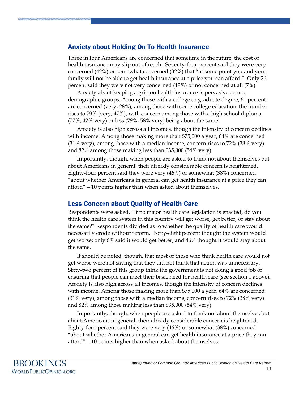## Anxiety about Holding On To Health Insurance

Three in four Americans are concerned that sometime in the future, the cost of health insurance may slip out of reach. Seventy-four percent said they were very concerned (42%) or somewhat concerned (32%) that "at some point you and your family will not be able to get health insurance at a price you can afford." Only 26 percent said they were not very concerned (19%) or not concerned at all (7%).

Anxiety about keeping a grip on health insurance is pervasive across demographic groups. Among those with a college or graduate degree, 61 percent are concerned (very, 28%); among those with some college education, the number rises to 79% (very, 47%), with concern among those with a high school diploma (77%, 42% very) or less (79%, 58% very) being about the same.

Anxiety is also high across all incomes, though the intensity of concern declines with income. Among those making more than \$75,000 a year, 64% are concerned (31% very); among those with a median income, concern rises to 72% (38% very) and 82% among those making less than \$35,000 (54% very)

Importantly, though, when people are asked to think not about themselves but about Americans in general, their already considerable concern is heightened. Eighty-four percent said they were very (46%) or somewhat (38%) concerned "about whether Americans in general can get health insurance at a price they can afford"—10 points higher than when asked about themselves.

### Less Concern about Quality of Health Care

Respondents were asked, "If no major health care legislation is enacted, do you think the health care system in this country will get worse, get better, or stay about the same?" Respondents divided as to whether the quality of health care would necessarily erode without reform. Forty-eight percent thought the system would get worse; only 6% said it would get better; and 46% thought it would stay about the same.

It should be noted, though, that most of those who think health care would not get worse were not saying that they did not think that action was unnecessary. Sixty-two percent of this group think the government is not doing a good job of ensuring that people can meet their basic need for health care (see section 1 above). Anxiety is also high across all incomes, though the intensity of concern declines with income. Among those making more than \$75,000 a year, 64% are concerned (31% very); among those with a median income, concern rises to 72% (38% very) and 82% among those making less than \$35,000 (54% very)

Importantly, though, when people are asked to think not about themselves but about Americans in general, their already considerable concern is heightened. Eighty-four percent said they were very (46%) or somewhat (38%) concerned "about whether Americans in general can get health insurance at a price they can afford"—10 points higher than when asked about themselves.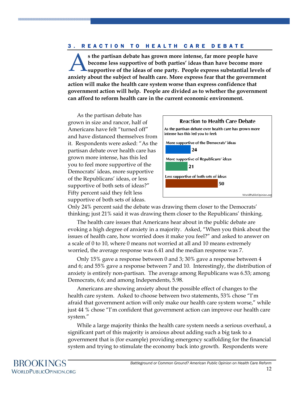#### 3. REACTION TO HEALTH CARE DEBATE

**s the partisan debate has grown more intense, far more people have become less supportive of both parties' ideas than have become more supportive of the ideas of one party. People express substantial levels of anxiety about the subject of health care. More express fear that the government action will make the health care system worse than express confidence that government action will help. People are divided as to whether the government can afford to reform health care in the current economic environment.**  A

As the partisan debate has grown in size and rancor, half of Americans have felt "turned off" and have distanced themselves from it. Respondents were asked: "As the partisan debate over health care has grown more intense, has this led you to feel more supportive of the Democrats' ideas, more supportive of the Republicans' ideas, or less supportive of both sets of ideas?" Fifty percent said they felt less supportive of both sets of ideas.



Only 24% percent said the debate was drawing them closer to the Democrats' thinking; just 21% said it was drawing them closer to the Republicans' thinking.

The health care issues that Americans hear about in the public debate are evoking a high degree of anxiety in a majority. Asked, "When you think about the issues of health care, how worried does it make you feel?" and asked to answer on a scale of 0 to 10, where 0 means not worried at all and 10 means extremely worried, the average response was 6.41 and the median response was 7.

Only 15% gave a response between 0 and 3; 30% gave a response between 4 and 6; and 55% gave a response between 7 and 10. Interestingly, the distribution of anxiety is entirely non-partisan. The average among Republicans was 6.53; among Democrats, 6.6; and among Independents, 5.98.

Americans are showing anxiety about the possible effect of changes to the health care system. Asked to choose between two statements, 53% chose "I'm afraid that government action will only make our health care system worse," while just 44 % chose "I'm confident that government action can improve our health care system."

While a large majority thinks the health care system needs a serious overhaul, a significant part of this majority is anxious about adding such a big task to a government that is (for example) providing emergency scaffolding for the financial system and trying to stimulate the economy back into growth. Respondents were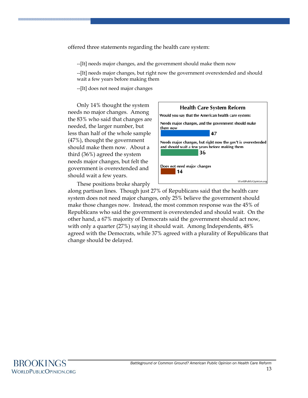offered three statements regarding the health care system:

--[It] needs major changes, and the government should make them now

--[It] needs major changes, but right now the government overextended and should wait a few years before making them

--[It] does not need major changes

Only 14% thought the system needs no major changes. Among the 83% who said that changes are needed, the larger number, but less than half of the whole sample (47%), thought the government should make them now. About a third (36%) agreed the system needs major changes, but felt the government is overextended and should wait a few years.

These positions broke sharply



along partisan lines. Though just 27% of Republicans said that the health care system does not need major changes, only 25% believe the government should make those changes now. Instead, the most common response was the 45% of Republicans who said the government is overextended and should wait. On the other hand, a 67% majority of Democrats said the government should act now, with only a quarter (27%) saying it should wait. Among Independents, 48% agreed with the Democrats, while 37% agreed with a plurality of Republicans that change should be delayed.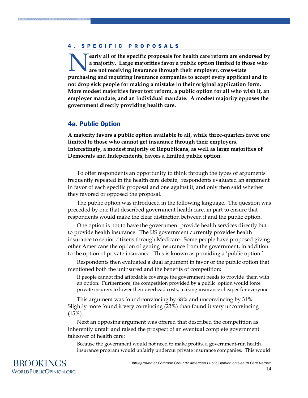#### SPECIFIC PROPOSALS

**early all of the specific proposals for health care reform are endorsed by a majority. Large majorities favor a public option limited to those who are not receiving insurance through their employer, cross-state purchasing and requiring insurance companies to accept every applicant and to not drop sick people for making a mistake in their original application form. More modest majorities favor tort reform, a public option for all who wish it, an employer mandate, and an individual mandate. A modest majority opposes the government directly providing health care.**  N

## 4a. Public Option

**A majority favors a public option available to all, while three-quarters favor one limited to those who cannot get insurance through their employers. Interestingly, a modest majority of Republicans, as well as large majorities of Democrats and Independents, favors a limited public option.** 

To offer respondents an opportunity to think through the types of arguments frequently repeated in the health care debate, respondents evaluated an argument in favor of each specific proposal and one against it, and only then said whether they favored or opposed the proposal.

The public option was introduced in the following language. The question was preceded by one that described government health care, in part to ensure that respondents would make the clear distinction between it and the public option.

One option is not to have the government provide health services directly but to provide health insurance. The US government currently provides health insurance to senior citizens through Medicare. Some people have proposed giving other Americans the option of getting insurance from the government, in addition to the option of private insurance. This is known as providing a 'public option.'

Respondents then evaluated a dual argument in favor of the public option that mentioned both the uninsured and the benefits of competition:

If people cannot find affordable coverage the government needs to provide them with an option. Furthermore, the competition provided by a public option would force private insurers to lower their overhead costs, making insurance cheaper for everyone.

This argument was found convincing by 68% and unconvincing by 31%. Slightly more found it very convincing (23%) than found it very unconvincing  $(15\%)$ .

Next an opposing argument was offered that described the competition as inherently unfair and raised the prospect of an eventual complete government takeover of health care:

Because the government would not need to make profits, a government-run health insurance program would unfairly undercut private insurance companies. This would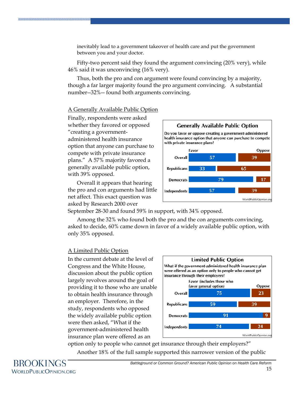inevitably lead to a government takeover of health care and put the government between you and your doctor.

Fifty-two percent said they found the argument convincing (20% very), while 46% said it was unconvincing (16% very).

Thus, both the pro and con argument were found convincing by a majority, though a far larger majority found the pro argument convincing. A substantial number--32%-- found both arguments convincing.

#### A Generally Available Public Option

Finally, respondents were asked whether they favored or opposed "creating a governmentadministered health insurance option that anyone can purchase to compete with private insurance plans." A 57% majority favored a generally available public option, with 39% opposed.

Overall it appears that hearing the pro and con arguments had little net affect. This exact question was asked by Research 2000 over



September 28-30 and found 59% in support, with 34% opposed.

Among the 32% who found both the pro and the con arguments convincing, asked to decide, 60% came down in favor of a widely available public option, with only 35% opposed.

#### A Limited Public Option

In the current debate at the level of Congress and the White House, discussion about the public option largely revolves around the goal of providing it to those who are unable to obtain health insurance through an employer. Therefore, in the study, respondents who opposed the widely available public option were then asked, "What if the government-administered health insurance plan were offered as an



option only to people who cannot get insurance through their employers?" Another 18% of the full sample supported this narrower version of the public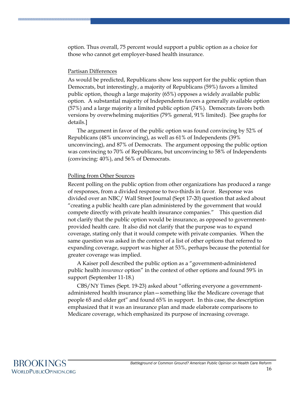option. Thus overall, 75 percent would support a public option as a choice for those who cannot get employer-based health insurance.

#### Partisan Differences

As would be predicted, Republicans show less support for the public option than Democrats, but interestingly, a majority of Republicans (59%) favors a limited public option, though a large majority (65%) opposes a widely available public option. A substantial majority of Independents favors a generally available option (57%) and a large majority a limited public option (74%). Democrats favors both versions by overwhelming majorities (79% general, 91% limited). [See graphs for details.]

The argument in favor of the public option was found convincing by 52% of Republicans (48% unconvincing), as well as 61% of Independents (39% unconvincing), and 87% of Democrats. The argument opposing the public option was convincing to 70% of Republicans, but unconvincing to 58% of Independents (convincing: 40%), and 56% of Democrats.

#### Polling from Other Sources

Recent polling on the public option from other organizations has produced a range of responses, from a divided response to two-thirds in favor. Response was divided over an NBC/ Wall Street Journal (Sept 17-20) question that asked about "creating a public health care plan administered by the government that would compete directly with private health insurance companies." This question did not clarify that the public option would be insurance, as opposed to governmentprovided health care. It also did not clarify that the purpose was to expand coverage, stating only that it would compete with private companies. When the same question was asked in the context of a list of other options that referred to expanding coverage, support was higher at 53%, perhaps because the potential for greater coverage was implied.

A Kaiser poll described the public option as a "government-administered public health *insurance* option" in the context of other options and found 59% in support (September 11-18.)

CBS/NY Times (Sept. 19-23) asked about "offering everyone a governmentadministered health insurance plan—something like the Medicare coverage that people 65 and older get" and found 65% in support. In this case, the description emphasized that it was an insurance plan and made elaborate comparisons to Medicare coverage, which emphasized its purpose of increasing coverage.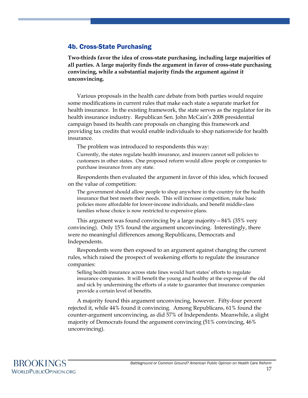## 4b. Cross-State Purchasing

**Two-thirds favor the idea of cross-state purchasing, including large majorities of all parties. A large majority finds the argument in favor of cross-state purchasing convincing, while a substantial majority finds the argument against it unconvincing.** 

Various proposals in the health care debate from both parties would require some modifications in current rules that make each state a separate market for health insurance. In the existing framework, the state serves as the regulator for its health insurance industry. Republican Sen. John McCain's 2008 presidential campaign based its health care proposals on changing this framework and providing tax credits that would enable individuals to shop nationwide for health insurance.

The problem was introduced to respondents this way:

Currently, the states regulate health insurance, and insurers cannot sell policies to customers in other states. One proposed reform would allow people or companies to purchase insurance from any state.

Respondents then evaluated the argument in favor of this idea, which focused on the value of competition:

The government should allow people to shop anywhere in the country for the health insurance that best meets their needs. This will increase competition, make basic policies more affordable for lower-income individuals, and benefit middle-class families whose choice is now restricted to expensive plans.

This argument was found convincing by a large majority  $-84\%$  (35% very convincing). Only 15% found the argument unconvincing. Interestingly, there were no meaningful differences among Republicans, Democrats and Independents.

Respondents were then exposed to an argument against changing the current rules, which raised the prospect of weakening efforts to regulate the insurance companies:

Selling health insurance across state lines would hurt states' efforts to regulate insurance companies. It will benefit the young and healthy at the expense of the old and sick by undermining the efforts of a state to guarantee that insurance companies provide a certain level of benefits.

A majority found this argument unconvincing, however. Fifty-four percent rejected it, while 44% found it convincing. Among Republicans, 61% found the counter-argument unconvincing, as did 57% of Independents. Meanwhile, a slight majority of Democrats found the argument convincing (51% convincing, 46% unconvincing).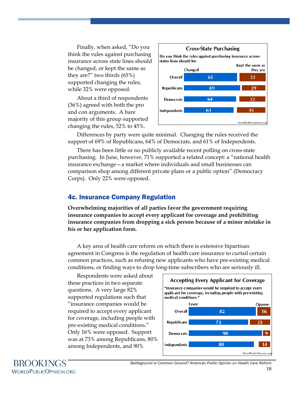Finally, when asked, "Do you think the rules against purchasing insurance across state lines should be changed, or kept the same as they are?" two thirds (65%) supported changing the rules, while 32% were opposed.

About a third of respondents (36%) agreed with both the pro and con arguments. A bare majority of this group supported changing the rules, 52% to 45%.



Differences by party were quite minimal. Changing the rules received the support of 69% of Republicans, 64% of Democrats, and 61% of Independents.

There has been little or no publicly available recent polling on cross-state purchasing. In June, however, 71% supported a related concept: a "national health insurance exchange—a market where individuals and small businesses can comparison shop among different private plans or a public option" (Democracy Corps). Only 22% were opposed.

## 4c. Insurance Company Regulation

**Overwhelming majorities of all parties favor the government requiring insurance companies to accept every applicant for coverage and prohibiting insurance companies from dropping a sick person because of a minor mistake in his or her application form.** 

A key area of health care reform on which there is extensive bipartisan agreement in Congress is the regulation of health care insurance to curtail certain common practices, such as refusing new applicants who have pre-existing medical conditions, or finding ways to drop long-time subscribers who are seriously ill.

Respondents were asked about these practices in two separate questions. A very large 82% supported regulations such that "insurance companies would be required to accept every applicant for coverage, including people with pre-existing medical conditions." Only 16% were opposed. Support was at 73% among Republicans, 80% among Independents, and 90%

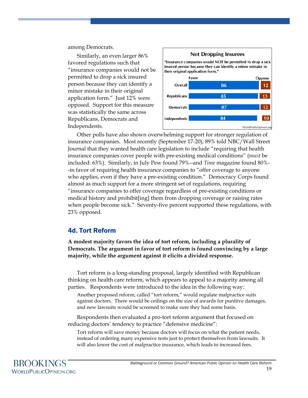among Democrats.

Similarly, an even larger 86% favored regulations such that "insurance companies would not be permitted to drop a sick insured person because they can identify a minor mistake in their original application form." Just 12% were opposed. Support for this measure was statistically the same across Republicans, Democrats and Independents.



Other polls have also shown overwhelming support for stronger regulation of insurance companies. Most recently (September 17-20), 89% told NBC/Wall Street Journal that they wanted health care legislation to include "requiring that health insurance companies cover people with pre-existing medical conditions" (*must* be included: 63%). Similarly, in July Pew found 79%--and *Time* magazine found 80%- -in favor of requiring health insurance companies to "offer coverage to anyone who applies, even if they have a pre-existing condition." Democracy Corps found almost as much support for a more stringent set of regulations, requiring "insurance companies to offer coverage regardless of pre-existing conditions or medical history and prohibit[ing] them from dropping coverage or raising rates when people become sick." Seventy-five percent supported these regulations, with 23% opposed.

## 4d. Tort Reform

**A modest majority favors the idea of tort reform, including a plurality of Democrats. The argument in favor of tort reform is found convincing by a large majority, while the argument against it elicits a divided response.** 

Tort reform is a long-standing proposal, largely identified with Republican thinking on health care reform, which appears to appeal to a majority among all parties. Respondents were introduced to the idea in the following way:

Another proposed reform, called "tort reform," would regulate malpractice suits against doctors. There would be ceilings on the size of awards for punitive damages, and new lawsuits would be screened to make sure they had some basis.

Respondents then evaluated a pro-tort reform argument that focused on reducing doctors' tendency to practice "defensive medicine":

Tort reform will save money because doctors will focus on what the patient needs, instead of ordering many expensive tests just to protect themselves from lawsuits. It will also lower the cost of malpractice insurance, which leads to increased fees.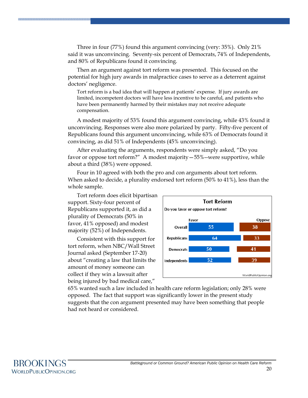Three in four (77%) found this argument convincing (very: 35%). Only 21% said it was unconvincing. Seventy-six percent of Democrats, 74% of Independents, and 80% of Republicans found it convincing.

Then an argument against tort reform was presented. This focused on the potential for high jury awards in malpractice cases to serve as a deterrent against doctors' negligence.

Tort reform is a bad idea that will happen at patients' expense. If jury awards are limited, incompetent doctors will have less incentive to be careful, and patients who have been permanently harmed by their mistakes may not receive adequate compensation.

A modest majority of 53% found this argument convincing, while 43% found it unconvincing. Responses were also more polarized by party. Fifty-five percent of Republicans found this argument unconvincing, while 63% of Democrats found it convincing, as did 51% of Independents (45% unconvincing).

After evaluating the arguments, respondents were simply asked, "Do you favor or oppose tort reform?" A modest majority—55%--were supportive, while about a third (38%) were opposed.

Four in 10 agreed with both the pro and con arguments about tort reform. When asked to decide, a plurality endorsed tort reform (50% to 41%), less than the whole sample.

Tort reform does elicit bipartisan support. Sixty-four percent of Republicans supported it, as did a plurality of Democrats (50% in favor, 41% opposed) and modest majority (52%) of Independents.

Consistent with this support for tort reform, when NBC/Wall Street Journal asked (September 17-20) about "creating a law that limits the amount of money someone can collect if they win a lawsuit after being injured by bad medical care,"



65% wanted such a law included in health care reform legislation; only 28% were opposed. The fact that support was significantly lower in the present study suggests that the con argument presented may have been something that people had not heard or considered.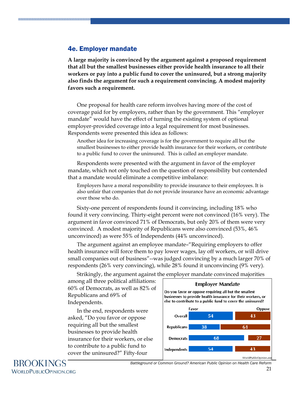## 4e. Employer mandate

**A large majority is convinced by the argument against a proposed requirement that all but the smallest businesses either provide health insurance to all their workers or pay into a public fund to cover the uninsured, but a strong majority also finds the argument for such a requirement convincing. A modest majority favors such a requirement.** 

One proposal for health care reform involves having more of the cost of coverage paid for by employers, rather than by the government. This "employer mandate" would have the effect of turning the existing system of optional employer-provided coverage into a legal requirement for most businesses. Respondents were presented this idea as follows:

Another idea for increasing coverage is for the government to require all but the smallest businesses to either provide health insurance for their workers, or contribute to a public fund to cover the uninsured. This is called an employer mandate.

Respondents were presented with the argument in favor of the employer mandate, which not only touched on the question of responsibility but contended that a mandate would eliminate a competitive imbalance:

Employers have a moral responsibility to provide insurance to their employees. It is also unfair that companies that do not provide insurance have an economic advantage over those who do.

Sixty-one percent of respondents found it convincing, including 18% who found it very convincing. Thirty-eight percent were not convinced (16% very). The argument in favor convinced 71% of Democrats, but only 20% of them were very convinced. A modest majority of Republicans were also convinced (53%, 46% unconvinced) as were 55% of Independents (44% unconvinced).

The argument against an employee mandate–"Requiring employers to offer health insurance will force them to pay lower wages, lay off workers, or will drive small companies out of business"--was judged convincing by a much larger 70% of respondents (26% very convincing), while 28% found it unconvincing (9% very).

among all three political affiliations: 60% of Democrats, as well as 82% of Republicans and 69% of Independents.

In the end, respondents were asked, "Do you favor or oppose requiring all but the smallest businesses to provide health insurance for their workers, or else to contribute to a public fund to cover the uninsured?" Fifty-four

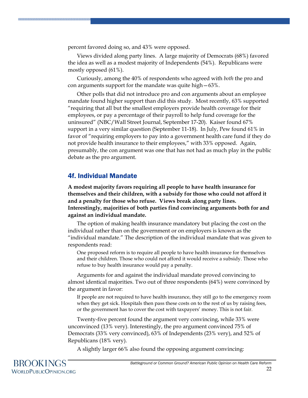percent favored doing so, and 43% were opposed.

Views divided along party lines. A large majority of Democrats (68%) favored the idea as well as a modest majority of Independents (54%). Republicans were mostly opposed (61%).

Curiously, among the 40% of respondents who agreed with *both* the pro and con arguments support for the mandate was quite high—63%.

Other polls that did not introduce pro and con arguments about an employee mandate found higher support than did this study. Most recently, 63% supported "requiring that all but the smallest employers provide health coverage for their employees, or pay a percentage of their payroll to help fund coverage for the uninsured" (NBC/Wall Street Journal, September 17-20). Kaiser found 67% support in a very similar question (September 11-18). In July, Pew found 61% in favor of "requiring employers to pay into a government health care fund if they do not provide health insurance to their employees," with 33% opposed. Again, presumably, the con argument was one that has not had as much play in the public debate as the pro argument.

## 4f. Individual Mandate

**A modest majority favors requiring all people to have health insurance for themselves and their children, with a subsidy for those who could not afford it and a penalty for those who refuse. Views break along party lines. Interestingly, majorities of both parties find convincing arguments both for and against an individual mandate.** 

The option of making health insurance mandatory but placing the cost on the individual rather than on the government or on employers is known as the "individual mandate." The description of the individual mandate that was given to respondents read:

One proposed reform is to require all people to have health insurance for themselves and their children. Those who could not afford it would receive a subsidy. Those who refuse to buy health insurance would pay a penalty.

Arguments for and against the individual mandate proved convincing to almost identical majorities. Two out of three respondents (64%) were convinced by the argument in favor:

If people are not required to have health insurance, they still go to the emergency room when they get sick. Hospitals then pass these costs on to the rest of us by raising fees, or the government has to cover the cost with taxpayers' money. This is not fair.

Twenty-five percent found the argument very convincing, while 33% were unconvinced (13% very). Interestingly, the pro argument convinced 75% of Democrats (33% very convinced), 63% of Independents (23% very), and 52% of Republicans (18% very).

A slightly larger 66% also found the opposing argument convincing: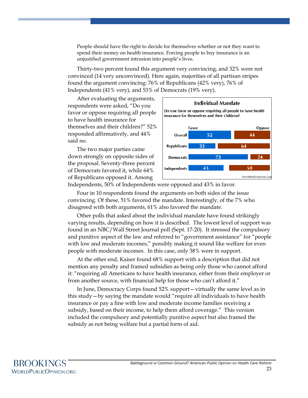People should have the right to decide for themselves whether or not they want to spend their money on health insurance. Forcing people to buy insurance is an unjustified government intrusion into people's lives.

Thirty-two percent found this argument very convincing, and 32% were not convinced (14 very unconvinced). Here again, majorities of all partisan stripes found the argument convincing: 76% of Republicans (42% very), 76% of Independents (41% very), and 53% of Democrats (19% very).

After evaluating the arguments, respondents were asked, "Do you favor or oppose requiring all people to have health insurance for themselves and their children?" 52% responded affirmatively, and 44% said no.

The two major parties came down strongly on opposite sides of the proposal. Seventy-three percent of Democrats favored it, while 64% of Republicans opposed it. Among



Independents, 50% of Independents were opposed and 43% in favor.

Four in 10 respondents found the arguments on both sides of the issue convincing. Of these, 51% favored the mandate. Interestingly, of the 7% who disagreed with both arguments, 61% also favored the mandate.

Other polls that asked about the individual mandate have found strikingly varying results, depending on how it is described. The lowest level of support was found in an NBC/Wall Street Journal poll (Sept. 17-20). It stressed the compulsory and punitive aspect of the law and referred to "government assistance" for "people with low and moderate incomes," possibly making it sound like welfare for even people with moderate incomes. In this case, only 38% were in support.

At the other end, Kaiser found 68% support with a description that did not mention any penalty and framed subsidies as being only those who cannot afford it: "requiring all Americans to have health insurance, either from their employer or from another source, with financial help for those who can't afford it."

In June, Democracy Corps found 52% support—virtually the same level as in this study—by saying the mandate would "require all individuals to have health insurance or pay a fine with low and moderate income families receiving a subsidy, based on their income, to help them afford coverage." This version included the compulsory and potentially punitive aspect but also framed the subsidy as not being welfare but a partial form of aid.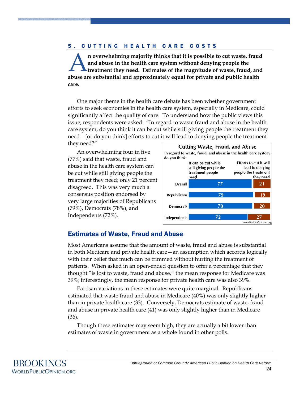#### 5. CUTTING HEALTH CARE COSTS

**n overwhelming majority thinks that it is possible to cut waste, fraud and abuse in the health care system without denying people the treatment they need. Estimates of the magnitude of waste, fraud, and abuse are substantial and approximately equal for private and public health care.**  A

One major theme in the health care debate has been whether government efforts to seek economies in the health care system, especially in Medicare, could significantly affect the quality of care. To understand how the public views this issue, respondents were asked: "In regard to waste fraud and abuse in the health care system, do you think it can be cut while still giving people the treatment they need—[or do you think] efforts to cut it will lead to denying people the treatment they need?"

 An overwhelming four in five (77%) said that waste, fraud and abuse in the health care system can be cut while still giving people the treatment they need; only 21 percent disagreed. This was very much a consensus position endorsed by very large majorities of Republicans (79%), Democrats (78%), and Independents (72%).



## Estimates of Waste, Fraud and Abuse

Most Americans assume that the amount of waste, fraud and abuse is substantial in both Medicare and private health care—an assumption which accords logically with their belief that much can be trimmed without hurting the treatment of patients. When asked in an open-ended question to offer a percentage that they thought "is lost to waste, fraud and abuse," the mean response for Medicare was 39%; interestingly, the mean response for private health care was also 39%.

Partisan variations in these estimates were quite marginal. Republicans estimated that waste fraud and abuse in Medicare (40%) was only slightly higher than in private health care (33). Conversely, Democrats estimate of waste, fraud and abuse in private health care (41) was only slightly higher than in Medicare (36).

Though these estimates may seem high, they are actually a bit lower than estimates of waste in government as a whole found in other polls.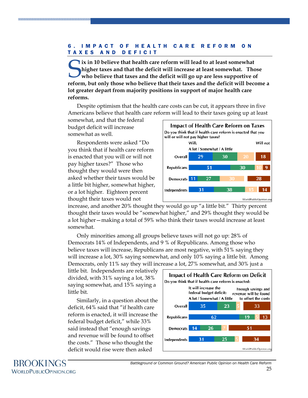#### 6. IMPACT OF HEALTH CARE REFORM ON TAXES AND DEFICIT

**ix in 10 believe that health care reform will lead to at least somewhat higher taxes and that the deficit will increase at least somewhat. Those who believe that taxes and the deficit will go up are less supportive of Fix in 10 believe that health care reform will lead to at least somewhat**<br>higher taxes and that the deficit will increase at least somewhat. Those<br>who believe that taxes and the deficit will go up are less supportive of<br>r **lot greater depart from majority positions in support of major health care reforms.** 

Despite optimism that the health care costs can be cut, it appears three in five Americans believe that health care reform will lead to their taxes going up at least

somewhat, and that the federal budget deficit will increase somewhat as well.

Respondents were asked "Do you think that if health care reform is enacted that you will or will not pay higher taxes?" Those who thought they would were then asked whether their taxes would be a little bit higher, somewhat higher, or a lot higher. Eighteen percent thought their taxes would not



increase, and another 20% thought they would go up "a little bit." Thirty percent thought their taxes would be "somewhat higher," and 29% thought they would be a lot higher—making a total of 59% who think their taxes would increase at least somewhat.

Only minorities among all groups believe taxes will not go up: 28% of Democrats 14% of Independents, and 9 % of Republicans. Among those who believe taxes will increase, Republicans are most negative, with 51% saying they will increase a lot, 30% saying somewhat, and only 10% saying a little bit. Among Democrats, only 11% say they will increase a lot, 27% somewhat, and 30% just a

little bit. Independents are relatively divided, with 31% saying a lot, 38% saying somewhat, and 15% saying a little bit.

Similarly, in a question about the deficit, 64% said that "if health care reform is enacted, it will increase the federal budget deficit," while 33% said instead that "enough savings and revenue will be found to offset the costs." Those who thought the deficit would rise were then asked

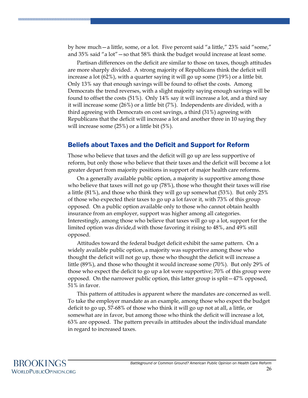by how much—a little, some, or a lot. Five percent said "a little," 23% said "some," and 35% said "a lot"—so that 58% think the budget would increase at least some.

Partisan differences on the deficit are similar to those on taxes, though attitudes are more sharply divided. A strong majority of Republicans think the deficit will increase a lot (62%), with a quarter saying it will go up some (19%) or a little bit. Only 13% say that enough savings will be found to offset the costs. Among Democrats the trend reverses, with a slight majority saying enough savings will be found to offset the costs (51%). Only 14% say it will increase a lot, and a third say it will increase some (26%) or a little bit (7%). Independents are divided, with a third agreeing with Democrats on cost savings, a third (31%) agreeing with Republicans that the deficit will increase a lot and another three in 10 saying they will increase some (25%) or a little bit (5%).

## Beliefs about Taxes and the Deficit and Support for Reform

Those who believe that taxes and the deficit will go up are less supportive of reform, but only those who believe that their taxes and the deficit will become a lot greater depart from majority positions in support of major health care reforms.

On a generally available public option, a majority is supportive among those who believe that taxes will not go up (78%), those who thought their taxes will rise a little (81%), and those who think they will go up somewhat (53%). But only 25% of those who expected their taxes to go up a lot favor it, with 73% of this group opposed. On a public option available only to those who cannot obtain health insurance from an employer, support was higher among all categories. Interestingly, among those who believe that taxes will go up a lot, support for the limited option was divide,d with those favoring it rising to 48%, and 49% still opposed.

Attitudes toward the federal budget deficit exhibit the same pattern. On a widely available public option, a majority was supportive among those who thought the deficit will not go up, those who thought the deficit will increase a little (89%), and those who thought it would increase some (70%). But only 29% of those who expect the deficit to go up a lot were supportive; 70% of this group were opposed. On the narrower public option, this latter group is split—47% opposed, 51% in favor.

This pattern of attitudes is apparent where the mandates are concerned as well. To take the employer mandate as an example, among those who expect the budget deficit to go up, 57-68% of those who think it will go up not at all, a little, or somewhat are in favor, but among those who think the deficit will increase a lot, 63% are opposed. The pattern prevails in attitudes about the individual mandate in regard to increased taxes.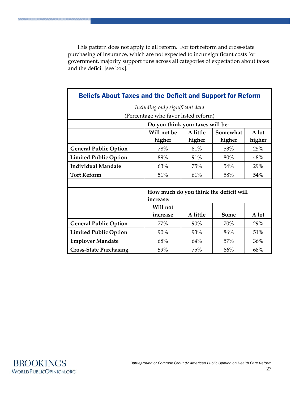This pattern does not apply to all reform. For tort reform and cross-state purchasing of insurance, which are not expected to incur significant costs for government, majority support runs across all categories of expectation about taxes and the deficit [see box].

| <b>Beliefs About Taxes and the Deficit and Support for Reform</b> |                                        |                    |                    |                 |  |  |  |  |
|-------------------------------------------------------------------|----------------------------------------|--------------------|--------------------|-----------------|--|--|--|--|
| Including only significant data                                   |                                        |                    |                    |                 |  |  |  |  |
| (Percentage who favor listed reform)                              |                                        |                    |                    |                 |  |  |  |  |
|                                                                   | Do you think your taxes will be:       |                    |                    |                 |  |  |  |  |
|                                                                   | Will not be<br>higher                  | A little<br>higher | Somewhat<br>higher | A lot<br>higher |  |  |  |  |
| <b>General Public Option</b>                                      | 78%                                    | 81%                | 53%                | 25%             |  |  |  |  |
| <b>Limited Public Option</b>                                      | 89%                                    | 91%                | 80%                | 48%             |  |  |  |  |
| <b>Individual Mandate</b>                                         | 63%                                    | 75%                | 54%                | 29%             |  |  |  |  |
| <b>Tort Reform</b>                                                | 51%                                    | 61%                | 58%                | 54%             |  |  |  |  |
|                                                                   |                                        |                    |                    |                 |  |  |  |  |
|                                                                   | How much do you think the deficit will |                    |                    |                 |  |  |  |  |
|                                                                   | increase:                              |                    |                    |                 |  |  |  |  |
|                                                                   | Will not                               |                    |                    |                 |  |  |  |  |
|                                                                   | increase                               | A little           | Some               | A lot           |  |  |  |  |
| <b>General Public Option</b>                                      | 77%                                    | 90%                | 70%                | 29%             |  |  |  |  |
| <b>Limited Public Option</b>                                      | 90%                                    | 93%                | 86%                | 51%             |  |  |  |  |
| <b>Employer Mandate</b>                                           | 68%                                    | 64%                | 57%                | 36%             |  |  |  |  |
| <b>Cross-State Purchasing</b>                                     | 59%                                    | 75%                | 66%                | 68%             |  |  |  |  |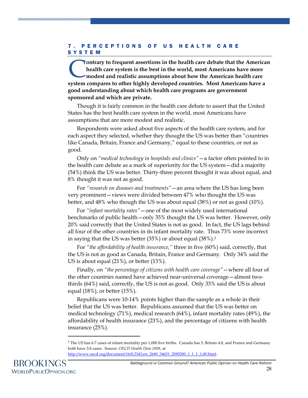#### 7. PERCEPTIONS OF US HEALTH CARE SYSTEM

**ontrary to frequent assertions in the health care debate that the American health care system is the best in the world, most Americans have more modest and realistic assumptions about how the American health care system compares to other highly developed countries. Most Americans have a good understanding about which health care programs are government sponsored and which are private.**  C<br>austen

Though it is fairly common in the health care debate to assert that the United States has the best health care system in the world, most Americans have assumptions that are more modest and realistic.

Respondents were asked about five aspects of the health care system, and for each aspect they selected, whether they thought the US was better than "countries like Canada, Britain, France and Germany," equal to these countries, or not as good.

Only on *"medical technology in hospitals and clinics"*—a factor often pointed to in the health care debate as a mark of superiority for the US system—did a majority (54%) think the US was better. Thirty-three percent thought it was about equal, and 8% thought it was not as good.

For *"research on diseases and treatments"*—an area where the US has long been very prominent—views were divided between 47% who thought the US was better, and 48% who though the US was about equal (38%) or not as good (10%).

For *"infant mortality rates"*—one of the most widely used international benchmarks of public health—only 35% thought the US was better. However, only 20% said correctly that the United States is not as good. In fact, the US lags behind all four of the other countries in its infant mortality rate. Thus 73% were incorrect in saying that the US was better (35%) or about equal (38%).2

For *"the affordability of health insurance,"* three in five (60%) said, correctly, that the US is not as good as Canada, Britain, France and Germany. Only 34% said the US is about equal (21%), or better (13%).

Finally, on *"the percentage of citizens with health care coverage"*—where all four of the other countries named have achieved near-universal coverage—almost twothirds (64%) said, correctly, the US is not as good. Only 33% said the US is about equal (18%), or better (15%).

Republicans were 10-14% points higher than the sample as a whole in their belief that the US was better. Republicans assumed that the US was better on medical technology (71%), medical research (64%), infant mortality rates (49%), the affordability of health insurance (23%), and the percentage of citizens with health insurance (25%).

 $\overline{a}$ 

<sup>2</sup> The US has 6.7 cases of infant mortality per 1,000 live births. Canada has 5, Britain 4.8, and France and Germany both have 3.8 cases. Source: *OECD Health Data 2009*, at http://www.oecd.org/document/16/0,3343,en\_2649\_34631\_2085200\_1\_1\_1\_1,00.html.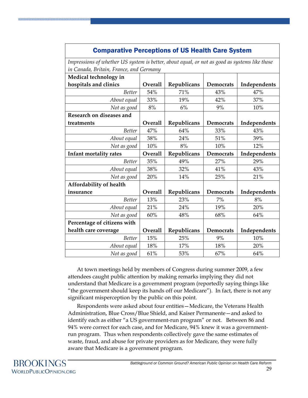| Impressions of whether US system is better, about equal, or not as good as systems like those |         |             |                  |              |  |  |  |
|-----------------------------------------------------------------------------------------------|---------|-------------|------------------|--------------|--|--|--|
| in Canada, Britain, France, and Germany                                                       |         |             |                  |              |  |  |  |
| Medical technology in                                                                         |         |             |                  |              |  |  |  |
| hospitals and clinics                                                                         | Overall | Republicans | Democrats        | Independents |  |  |  |
| <b>Better</b>                                                                                 | 54%     | 71%         | 43%              | 47%          |  |  |  |
| About equal                                                                                   | 33%     | 19%         | 42%              | 37%          |  |  |  |
| Not as good                                                                                   | $8\%$   | $6\%$       | 9%               | 10%          |  |  |  |
| Research on diseases and                                                                      |         |             |                  |              |  |  |  |
| treatments                                                                                    | Overall | Republicans | Democrats        | Independents |  |  |  |
| <b>Better</b>                                                                                 | 47%     | 64%         | 33%              | 43%          |  |  |  |
| About equal                                                                                   | 38%     | 24%         | 51%              | 39%          |  |  |  |
| Not as good                                                                                   | 10%     | 8%          | 10%              | 12%          |  |  |  |
| Infant mortality rates                                                                        | Overall | Republicans | <b>Democrats</b> | Independents |  |  |  |
| <b>Better</b>                                                                                 | 35%     | 49%         | 27%              | 29%          |  |  |  |
| About equal                                                                                   | 38%     | 32%         | 41%              | 43%          |  |  |  |
| Not as good                                                                                   | 20%     | 14%         | 25%              | 21%          |  |  |  |
| Affordability of health                                                                       |         |             |                  |              |  |  |  |
| insurance                                                                                     | Overall | Republicans | Democrats        | Independents |  |  |  |
| <b>Better</b>                                                                                 | 13%     | 23%         | 7%               | 8%           |  |  |  |
| About equal                                                                                   | 21%     | 24%         | 19%              | 20%          |  |  |  |
| Not as good                                                                                   | 60%     | 48%         | 68%              | 64%          |  |  |  |
| Percentage of citizens with                                                                   |         |             |                  |              |  |  |  |
| health care coverage                                                                          | Overall | Republicans | <b>Democrats</b> | Independents |  |  |  |
| <b>Better</b>                                                                                 | 15%     | 25%         | 9%               | 10%          |  |  |  |
| About equal                                                                                   | 18%     | 17%         | 18%              | 20%          |  |  |  |
| Not as good                                                                                   | 61%     | 53%         | 67%              | 64%          |  |  |  |

## Comparative Perceptions of US Health Care System

At town meetings held by members of Congress during summer 2009, a few attendees caught public attention by making remarks implying they did not understand that Medicare is a government program (reportedly saying things like "the government should keep its hands off our Medicare"). In fact, there is not any significant misperception by the public on this point.

Respondents were asked about four entities—Medicare, the Veterans Health Administration, Blue Cross/Blue Shield, and Kaiser Permanente—and asked to identify each as either "a US government-run program" or not. Between 86 and 94% were correct for each case, and for Medicare, 94% knew it was a governmentrun program. Thus when respondents collectively gave the same estimates of waste, fraud, and abuse for private providers as for Medicare, they were fully aware that Medicare is a government program.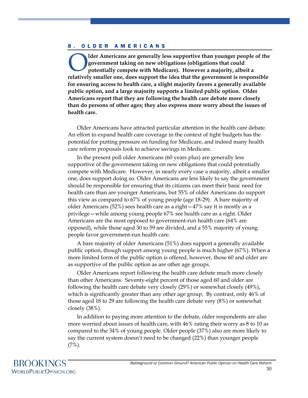#### 8. OLDER AMERICANS

**lder Americans are generally less supportive than younger people of the government taking on new obligations (obligations that could potentially compete with Medicare). However a majority, albeit a relatively smaller one, does support the idea that the government is responsible for ensuring access to health care, a slight majority favors a generally available public option, and a large majority supports a limited public option. Older Americans report that they are following the health care debate more closely than do persons of other ages; they also express more worry about the issues of health care.**  O

Older Americans have attracted particular attention in the health care debate. An effort to expand health care coverage in the context of tight budgets has the potential for putting pressure on funding for Medicare, and indeed many health care reform proposals look to achieve savings in Medicare.

In the present poll older Americans (60 years plus) are generally less supportive of the government taking on new obligations that could potentially compete with Medicare. However, in nearly every case a majority, albeit a smaller one, does support doing so. Older Americans are less likely to say the government should be responsible for ensuring that its citizens can meet their basic need for health care than are younger Americans, but 55% of older Americans do support this view as compared to 67% of young people (age 18-29). A bare majority of older Americans (52%) sees health care as a right—47% say it is mostly as a privilege—while among young people 67% see health care as a right. Older Americans are the most opposed to government-run health care (64% are opposed), while those aged 30 to 59 are divided, and a 55% majority of young people favor government-run health care.

A bare majority of older Americans (51%) does support a generally available public option, though support among young people is much higher (67%). When a more limited form of the public option is offered, however, those 60 and older are as supportive of the public option as are other age groups.

Older Americans report following the health care debate much more closely than other Americans. Seventy-eight percent of those aged 60 and older are following the health care debate very closely (29%) or somewhat closely (49%), which is significantly greater than any other age group. By contrast, only 46% of those aged 18 to 29 are following the health care debate very (8%) or somewhat closely (38%).

In addition to paying more attention to the debate, older respondents are also more worried about issues of health care, with 46% rating their worry as 8 to 10 as compared to the 34% of young people. Older people (37%) also are more likely to say the current system doesn't need to be changed (22%) than younger people (7%).